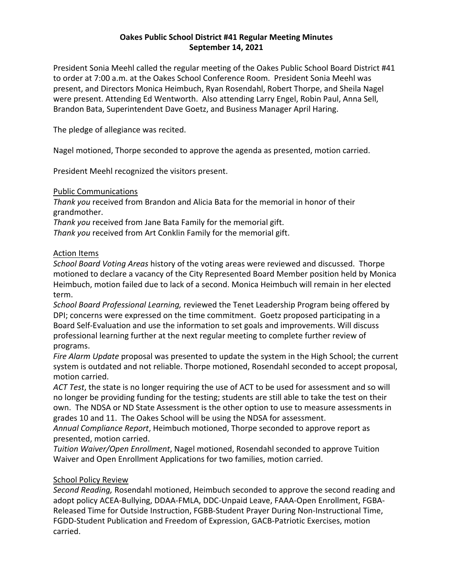# **Oakes Public School District #41 Regular Meeting Minutes September 14, 2021**

President Sonia Meehl called the regular meeting of the Oakes Public School Board District #41 to order at 7:00 a.m. at the Oakes School Conference Room. President Sonia Meehl was present, and Directors Monica Heimbuch, Ryan Rosendahl, Robert Thorpe, and Sheila Nagel were present. Attending Ed Wentworth. Also attending Larry Engel, Robin Paul, Anna Sell, Brandon Bata, Superintendent Dave Goetz, and Business Manager April Haring.

The pledge of allegiance was recited.

Nagel motioned, Thorpe seconded to approve the agenda as presented, motion carried.

President Meehl recognized the visitors present.

## Public Communications

*Thank you* received from Brandon and Alicia Bata for the memorial in honor of their grandmother.

*Thank you* received from Jane Bata Family for the memorial gift.

*Thank you* received from Art Conklin Family for the memorial gift.

## Action Items

*School Board Voting Areas* history of the voting areas were reviewed and discussed. Thorpe motioned to declare a vacancy of the City Represented Board Member position held by Monica Heimbuch, motion failed due to lack of a second. Monica Heimbuch will remain in her elected term.

*School Board Professional Learning,* reviewed the Tenet Leadership Program being offered by DPI; concerns were expressed on the time commitment. Goetz proposed participating in a Board Self-Evaluation and use the information to set goals and improvements. Will discuss professional learning further at the next regular meeting to complete further review of programs.

*Fire Alarm Update* proposal was presented to update the system in the High School; the current system is outdated and not reliable. Thorpe motioned, Rosendahl seconded to accept proposal, motion carried.

*ACT Test*, the state is no longer requiring the use of ACT to be used for assessment and so will no longer be providing funding for the testing; students are still able to take the test on their own. The NDSA or ND State Assessment is the other option to use to measure assessments in grades 10 and 11. The Oakes School will be using the NDSA for assessment.

*Annual Compliance Report*, Heimbuch motioned, Thorpe seconded to approve report as presented, motion carried.

*Tuition Waiver/Open Enrollment*, Nagel motioned, Rosendahl seconded to approve Tuition Waiver and Open Enrollment Applications for two families, motion carried.

## School Policy Review

*Second Reading,* Rosendahl motioned, Heimbuch seconded to approve the second reading and adopt policy ACEA-Bullying, DDAA-FMLA, DDC-Unpaid Leave, FAAA-Open Enrollment, FGBA-Released Time for Outside Instruction, FGBB-Student Prayer During Non-Instructional Time, FGDD-Student Publication and Freedom of Expression, GACB-Patriotic Exercises, motion carried.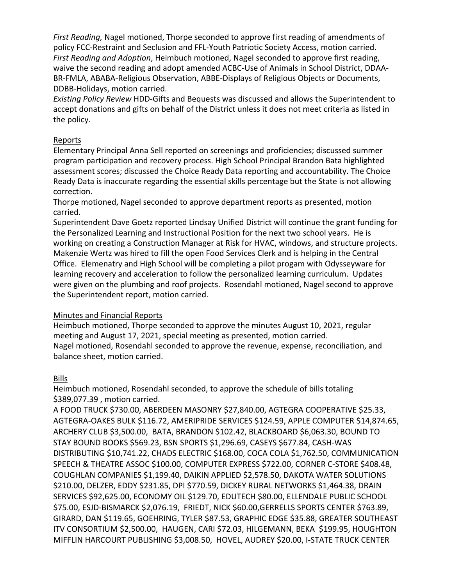*First Reading,* Nagel motioned, Thorpe seconded to approve first reading of amendments of policy FCC-Restraint and Seclusion and FFL-Youth Patriotic Society Access, motion carried. *First Reading and Adoption*, Heimbuch motioned, Nagel seconded to approve first reading, waive the second reading and adopt amended ACBC-Use of Animals in School District, DDAA-BR-FMLA, ABABA-Religious Observation, ABBE-Displays of Religious Objects or Documents, DDBB-Holidays, motion carried.

*Existing Policy Review* HDD-Gifts and Bequests was discussed and allows the Superintendent to accept donations and gifts on behalf of the District unless it does not meet criteria as listed in the policy.

## Reports

Elementary Principal Anna Sell reported on screenings and proficiencies; discussed summer program participation and recovery process. High School Principal Brandon Bata highlighted assessment scores; discussed the Choice Ready Data reporting and accountability. The Choice Ready Data is inaccurate regarding the essential skills percentage but the State is not allowing correction.

Thorpe motioned, Nagel seconded to approve department reports as presented, motion carried.

Superintendent Dave Goetz reported Lindsay Unified District will continue the grant funding for the Personalized Learning and Instructional Position for the next two school years. He is working on creating a Construction Manager at Risk for HVAC, windows, and structure projects. Makenzie Wertz was hired to fill the open Food Services Clerk and is helping in the Central Office. Elemenatry and High School will be completing a pilot progam with Odysseyware for learning recovery and acceleration to follow the personalized learning curriculum. Updates were given on the plumbing and roof projects. Rosendahl motioned, Nagel second to approve the Superintendent report, motion carried.

## Minutes and Financial Reports

Heimbuch motioned, Thorpe seconded to approve the minutes August 10, 2021, regular meeting and August 17, 2021, special meeting as presented, motion carried. Nagel motioned, Rosendahl seconded to approve the revenue, expense, reconciliation, and balance sheet, motion carried.

# Bills

Heimbuch motioned, Rosendahl seconded, to approve the schedule of bills totaling \$389,077.39 , motion carried.

A FOOD TRUCK \$730.00, ABERDEEN MASONRY \$27,840.00, AGTEGRA COOPERATIVE \$25.33, AGTEGRA-OAKES BULK \$116.72, AMERIPRIDE SERVICES \$124.59, APPLE COMPUTER \$14,874.65, ARCHERY CLUB \$3,500.00, BATA, BRANDON \$102.42, BLACKBOARD \$6,063.30, BOUND TO STAY BOUND BOOKS \$569.23, BSN SPORTS \$1,296.69, CASEYS \$677.84, CASH-WAS DISTRIBUTING \$10,741.22, CHADS ELECTRIC \$168.00, COCA COLA \$1,762.50, COMMUNICATION SPEECH & THEATRE ASSOC \$100.00, COMPUTER EXPRESS \$722.00, CORNER C-STORE \$408.48, COUGHLAN COMPANIES \$1,199.40, DAIKIN APPLIED \$2,578.50, DAKOTA WATER SOLUTIONS \$210.00, DELZER, EDDY \$231.85, DPI \$770.59, DICKEY RURAL NETWORKS \$1,464.38, DRAIN SERVICES \$92,625.00, ECONOMY OIL \$129.70, EDUTECH \$80.00, ELLENDALE PUBLIC SCHOOL \$75.00, ESJD-BISMARCK \$2,076.19, FRIEDT, NICK \$60.00,GERRELLS SPORTS CENTER \$763.89, GIRARD, DAN \$119.65, GOEHRING, TYLER \$87.53, GRAPHIC EDGE \$35.88, GREATER SOUTHEAST ITV CONSORTIUM \$2,500.00, HAUGEN, CARI \$72.03, HILGEMANN, BEKA \$199.95, HOUGHTON MIFFLIN HARCOURT PUBLISHING \$3,008.50, HOVEL, AUDREY \$20.00, I-STATE TRUCK CENTER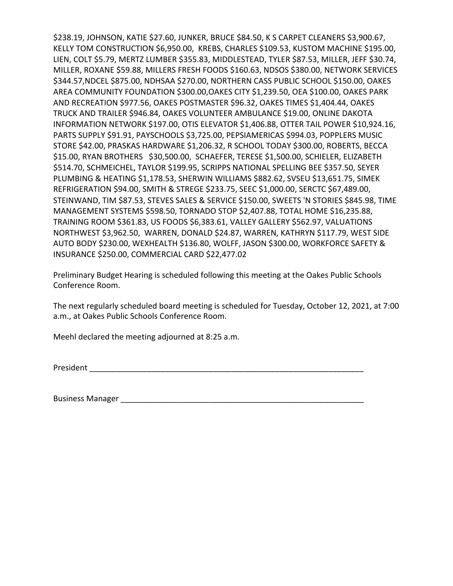\$238.19, JOHNSON, KATIE \$27.60, JUNKER, BRUCE \$84.50, K S CARPET CLEANERS \$3,900.67, KELLY TOM CONSTRUCTION \$6,950.00, KREBS, CHARLES \$109.53, KUSTOM MACHINE \$195.00, LIEN, COLT \$5.79, MERTZ LUMBER \$355.83, MIDDLESTEAD, TYLER \$87.53, MILLER, JEFF \$30.74, MILLER, ROXANE \$59.88, MILLERS FRESH FOODS \$160.63, NDSOS \$380.00, NETWORK SERVICES \$344.57,NDCEL \$875.00, NDHSAA \$270.00, NORTHERN CASS PUBLIC SCHOOL \$150.00, OAKES AREA COMMUNITY FOUNDATION \$300.00,OAKES CITY \$1,239.50, OEA \$100.00, OAKES PARK AND RECREATION \$977.56, OAKES POSTMASTER \$96.32, OAKES TIMES \$1,404.44, OAKES TRUCK AND TRAILER \$946.84, OAKES VOLUNTEER AMBULANCE \$19.00, ONLINE DAKOTA INFORMATION NETWORK \$197.00, OTIS ELEVATOR \$1,406.88, OTTER TAIL POWER \$10,924.16, PARTS SUPPLY \$91.91, PAYSCHOOLS \$3,725.00, PEPSIAMERICAS \$994.03, POPPLERS MUSIC STORE \$42.00, PRASKAS HARDWARE \$1,206.32, R SCHOOL TODAY \$300.00, ROBERTS, BECCA \$15.00, RYAN BROTHERS \$30,500.00, SCHAEFER, TERESE \$1,500.00, SCHIELER, ELIZABETH \$514.70, SCHMEICHEL, TAYLOR \$199.95, SCRIPPS NATIONAL SPELLING BEE \$357.50, SEYER PLUMBING & HEATING \$1,178.53, SHERWIN WILLIAMS \$882.62, SVSEU \$13,651.75, SIMEK REFRIGERATION \$94.00, SMITH & STREGE \$233.75, SEEC \$1,000.00, SERCTC \$67,489.00, STEINWAND, TIM \$87.53, STEVES SALES & SERVICE \$150.00, SWEETS 'N STORIES \$845.98, TIME MANAGEMENT SYSTEMS \$598.50, TORNADO STOP \$2,407.88, TOTAL HOME \$16,235.88, TRAINING ROOM \$361.83, US FOODS \$6,383.61, VALLEY GALLERY \$562.97, VALUATIONS NORTHWEST \$3,962.50, WARREN, DONALD \$24.87, WARREN, KATHRYN \$117.79, WEST SIDE AUTO BODY \$230.00, WEXHEALTH \$136.80, WOLFF, JASON \$300.00, WORKFORCE SAFETY & INSURANCE \$250.00, COMMERCIAL CARD \$22,477.02

Preliminary Budget Hearing is scheduled following this meeting at the Oakes Public Schools Conference Room.

The next regularly scheduled board meeting is scheduled for Tuesday, October 12, 2021, at 7:00 a.m., at Oakes Public Schools Conference Room.

Meehl declared the meeting adjourned at 8:25 a.m.

President \_\_\_\_\_\_\_\_\_\_\_\_\_\_\_\_\_\_\_\_\_\_\_\_\_\_\_\_\_\_\_\_\_\_\_\_\_\_\_\_\_\_\_\_\_\_\_\_\_\_\_\_\_\_\_\_\_\_\_\_\_\_

Business Manager \_\_\_\_\_\_\_\_\_\_\_\_\_\_\_\_\_\_\_\_\_\_\_\_\_\_\_\_\_\_\_\_\_\_\_\_\_\_\_\_\_\_\_\_\_\_\_\_\_\_\_\_\_\_\_